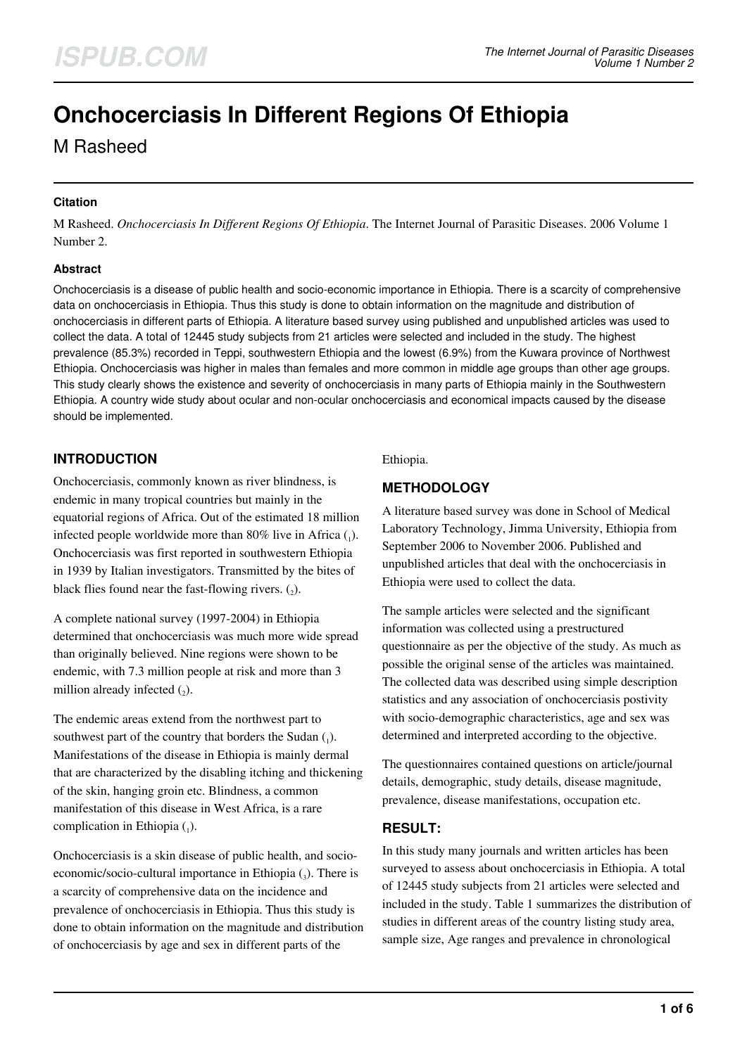# **Onchocerciasis In Different Regions Of Ethiopia**

M Rasheed

#### **Citation**

M Rasheed. *Onchocerciasis In Different Regions Of Ethiopia*. The Internet Journal of Parasitic Diseases. 2006 Volume 1 Number 2.

#### **Abstract**

Onchocerciasis is a disease of public health and socio-economic importance in Ethiopia. There is a scarcity of comprehensive data on onchocerciasis in Ethiopia. Thus this study is done to obtain information on the magnitude and distribution of onchocerciasis in different parts of Ethiopia. A literature based survey using published and unpublished articles was used to collect the data. A total of 12445 study subjects from 21 articles were selected and included in the study. The highest prevalence (85.3%) recorded in Teppi, southwestern Ethiopia and the lowest (6.9%) from the Kuwara province of Northwest Ethiopia. Onchocerciasis was higher in males than females and more common in middle age groups than other age groups. This study clearly shows the existence and severity of onchocerciasis in many parts of Ethiopia mainly in the Southwestern Ethiopia. A country wide study about ocular and non-ocular onchocerciasis and economical impacts caused by the disease should be implemented.

## **INTRODUCTION**

Onchocerciasis, commonly known as river blindness, is endemic in many tropical countries but mainly in the equatorial regions of Africa. Out of the estimated 18 million infected people worldwide more than  $80\%$  live in Africa  $_{(1)}$ . Onchocerciasis was first reported in southwestern Ethiopia in 1939 by Italian investigators. Transmitted by the bites of black flies found near the fast-flowing rivers.  $(_{2})$ .

A complete national survey (1997-2004) in Ethiopia determined that onchocerciasis was much more wide spread than originally believed. Nine regions were shown to be endemic, with 7.3 million people at risk and more than 3 million already infected  $(_{2})$ .

The endemic areas extend from the northwest part to southwest part of the country that borders the Sudan  $(_1)$ . Manifestations of the disease in Ethiopia is mainly dermal that are characterized by the disabling itching and thickening of the skin, hanging groin etc. Blindness, a common manifestation of this disease in West Africa, is a rare complication in Ethiopia  $(_1)$ .

Onchocerciasis is a skin disease of public health, and socioeconomic/socio-cultural importance in Ethiopia (3). There is a scarcity of comprehensive data on the incidence and prevalence of onchocerciasis in Ethiopia. Thus this study is done to obtain information on the magnitude and distribution of onchocerciasis by age and sex in different parts of the

Ethiopia.

## **METHODOLOGY**

A literature based survey was done in School of Medical Laboratory Technology, Jimma University, Ethiopia from September 2006 to November 2006. Published and unpublished articles that deal with the onchocerciasis in Ethiopia were used to collect the data.

The sample articles were selected and the significant information was collected using a prestructured questionnaire as per the objective of the study. As much as possible the original sense of the articles was maintained. The collected data was described using simple description statistics and any association of onchocerciasis postivity with socio-demographic characteristics, age and sex was determined and interpreted according to the objective.

The questionnaires contained questions on article/journal details, demographic, study details, disease magnitude, prevalence, disease manifestations, occupation etc.

## **RESULT:**

In this study many journals and written articles has been surveyed to assess about onchocerciasis in Ethiopia. A total of 12445 study subjects from 21 articles were selected and included in the study. Table 1 summarizes the distribution of studies in different areas of the country listing study area, sample size, Age ranges and prevalence in chronological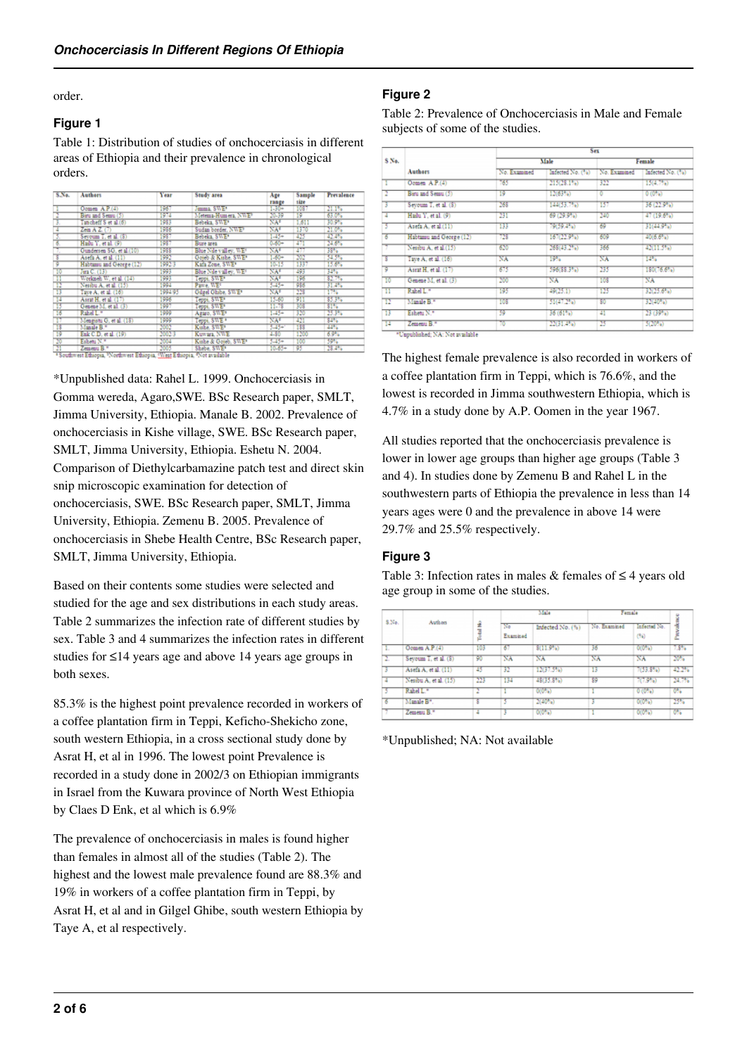order.

#### **Figure 1**

Table 1: Distribution of studies of onchocerciasis in different areas of Ethiopia and their prevalence in chronological orders.

| S.No.           | Authors                  | Year        | Study area                      | Age<br>range    | Sample<br>size | Prevalence |  |
|-----------------|--------------------------|-------------|---------------------------------|-----------------|----------------|------------|--|
|                 | Ocmen $AP(4)$            | 1967        | Jimma, SWE*                     | $1.30+$         | 1087           | 21.1%      |  |
|                 | Biru and Semu (5)        | <b>ISTA</b> | Metema-Humera, NWE <sup>5</sup> | 20.39           | 19             | 63.0%      |  |
| п.              | Tancheff S et al.(6)     | 1983        | Bebeka, SWE*                    | NA <sup>4</sup> | 1.611          | 30.9%      |  |
|                 | Zem A Z. (7)             | 1986        | Sudan border, NWE?              | NA®             | 1370           | 21.0%      |  |
|                 | Sevoum T. et al. (8)     | 1987        | Bebeka, SWE*                    | $1 - 45 +$      | 425            | 42.4%      |  |
| 6               | Hailu Y, et al. (9)      | 1987        | Bure area                       | $0.60+$         | 471            | 24.6%      |  |
|                 | Gundersen SG, et al.(10) | 1988        | Blue Nile valley, WE!           | NA®             | 477            | 38%        |  |
| -8              | Asefa A. et al. (11)     | 1992        | Gojeb & Kishe, SWE*             | $1 - 60 +$      | 202            | 54.5%      |  |
| -9              | Habtanu and George (12)  | 19923       | Kafa Zene, SWE <sup>+</sup>     | 10-15           | 1337           | 15.6%      |  |
| 10              | Jira C. (13)             | 1993        | Blue Nile valley, WE!           | NA*             | 493            | 32%        |  |
| π               | Workneh W, et al. (14)   | 1993        | Teppi, SWE*                     | NA              | 196            | 82.7%      |  |
| 12              | Nesibu A, et al. (15)    | 1994        | Pawe, WES                       | $5.45+$         | 956            | 31.4%      |  |
| 13              | Taye A, et al. (16)      | 1994.95     | Gilgel Ghibe, SWE!              | NА              | 228            | 17%        |  |
| 14              | Asrat H. et al. (17)     | 1995        | Teppi, SWE*                     | 15-60           | 911            | 85.3%      |  |
| -15             | Genene M. et al. (3)     | 1997        | Teppi, SWE <sup>3</sup>         | $11 - 75$       | 303            | 31%        |  |
| 16              | Rahel L."                | 1999        | Agazo, SWEP                     | $1.45 +$        | 320            | 25.3%      |  |
| T               | Mengistu G. et al. (18)  | 1999        | Teppi, SWE <sup>+</sup>         | NA <sup>s</sup> | 421            | 84%        |  |
| -18             | Manale B.*               | 2002        | Kishe, SWE+                     | 5.45+1          | 153            | 44%        |  |
| -19             | Enk C.D. et al. (19)     | 2002/3      | Kuwara, NWE                     | 4.80            | 1200           | 6.9%       |  |
| $\overline{20}$ | Eshetu N.º               | 2004        | Kithe & Goleb, SWE+             | 5.45+           | 100            | 59%        |  |
| 21              | Zemenu B.*               | 2005        | Shebe, SWE <sup>+</sup>         | $10-65+$        | 95             | 28.4%      |  |

\*Unpublished data: Rahel L. 1999. Onchocerciasis in Gomma wereda, Agaro,SWE. BSc Research paper, SMLT, Jimma University, Ethiopia. Manale B. 2002. Prevalence of onchocerciasis in Kishe village, SWE. BSc Research paper, SMLT, Jimma University, Ethiopia. Eshetu N. 2004. Comparison of Diethylcarbamazine patch test and direct skin snip microscopic examination for detection of onchocerciasis, SWE. BSc Research paper, SMLT, Jimma University, Ethiopia. Zemenu B. 2005. Prevalence of onchocerciasis in Shebe Health Centre, BSc Research paper, SMLT, Jimma University, Ethiopia.

Based on their contents some studies were selected and studied for the age and sex distributions in each study areas. Table 2 summarizes the infection rate of different studies by sex. Table 3 and 4 summarizes the infection rates in different studies for ≤14 years age and above 14 years age groups in both sexes.

85.3% is the highest point prevalence recorded in workers of a coffee plantation firm in Teppi, Keficho-Shekicho zone, south western Ethiopia, in a cross sectional study done by Asrat H, et al in 1996. The lowest point Prevalence is recorded in a study done in 2002/3 on Ethiopian immigrants in Israel from the Kuwara province of North West Ethiopia by Claes D Enk, et al which is 6.9%

The prevalence of onchocerciasis in males is found higher than females in almost all of the studies (Table 2). The highest and the lowest male prevalence found are 88.3% and 19% in workers of a coffee plantation firm in Teppi, by Asrat H, et al and in Gilgel Ghibe, south western Ethiopia by Taye A, et al respectively.

#### **Figure 2**

Table 2: Prevalence of Onchocerciasis in Male and Female subjects of some of the studies.

|                |                         | <b>Sex</b>  |                  |             |                   |  |  |
|----------------|-------------------------|-------------|------------------|-------------|-------------------|--|--|
| S No.          | Authors                 |             | Male             | Female      |                   |  |  |
|                |                         | No. Exammed | Infected No. (%) | No. Exammed | Infected No. (%)  |  |  |
|                | Ocmen $AP.$ (4)         | 765         | 215(28.1%)       | 322         | 15(4.7%)          |  |  |
|                | Biru and Semua (5)      | 19          | 12(63%)          | ۰           | $0(0^{n-1})$      |  |  |
| т              | Sevoum T. et al. (8)    | 268         | 144(53.7%)       | 157         | 36 (22.9%)        |  |  |
| ÷              | Hailu Y, et al. (9)     | 231         | 69 (29.9%)       | 240         | 47(19.6%)         |  |  |
| 5              | Asefa A. et al.(11)     | 133         | 79(59.4%)        | 69          | 31(44.9%)         |  |  |
| $\overline{6}$ | Habtanu and George (12) | 728         | $167(22.9\%)$    | 609         | $40(6.6\%)$       |  |  |
|                | Nesibu A. et al.(15)    | 620         | $268(43.2\%)$    | 366         | 42(11.5%)         |  |  |
| 78             | Taye A, et al. (16)     | NA          | 19%              | NA          | 14%               |  |  |
| $\overline{9}$ | Asrat H, et al. (17)    | 675         | 596(88.3%)       | 235         | $180(76.6^{n}$ a) |  |  |
| -10            | Genene M. et al. (3)    | 200         | NA               | 108         | NA                |  |  |
| п              | Rahel L.*               | 195         | 49(25.1)         | 125         | 32(25.6%)         |  |  |
| 12             | Manale B.*              | 108         | 51(47.2%)        | 80          | 32(40%)           |  |  |
| 13             | Esheni N.*              | 59          | 36(61%)          | 41          | 23 (39%)          |  |  |
| 14             | Zemenu B.*              | 70          | 22(31.4%)        | 25          | 5(20%)            |  |  |

The highest female prevalence is also recorded in workers of a coffee plantation firm in Teppi, which is 76.6%, and the lowest is recorded in Jimma southwestern Ethiopia, which is 4.7% in a study done by A.P. Oomen in the year 1967.

All studies reported that the onchocerciasis prevalence is lower in lower age groups than higher age groups (Table 3 and 4). In studies done by Zemenu B and Rahel L in the southwestern parts of Ethiopia the prevalence in less than 14 years ages were 0 and the prevalence in above 14 were 29.7% and 25.5% respectively.

#### **Figure 3**

Table 3: Infection rates in males & females of  $\leq 4$  years old age group in some of the studies.

| S.No. | Authori               |          | Male                  |                  | Female       |                      |                 |
|-------|-----------------------|----------|-----------------------|------------------|--------------|----------------------|-----------------|
|       |                       | Total No | <b>No</b><br>Examined | Infected No. (%) | No. Examined | Infected No.<br>(96) | lence<br>Press  |
| ъ.    | Ocmen $A.P.(4)$       | 103      | 67                    | $$(11.9\%)$      | 36           | $O(0^{3}a)$          | $7.8\%$         |
| 2.    | Sevoum T, et al. (8)  | 90       | NA                    | NA               | NA           | NA                   | 20%             |
| -3    | Asefa A, et al. (11)  | 45       | -32                   | 12(37.5%)        | 13           | $7(53.8\%)$          | 42.2%           |
| ÷     | Nesibu A, et al. (15) | 223      | 134                   | 48(35.8%)        | 89           | 7(7.95)              | 24.7%           |
|       | Rahel L.*             | z        |                       | $O(0^{3}a)$      |              | 0(0, 0)              | 0%              |
| 6     | Mande B*.             | 8        |                       | $2(40\%)$        |              | $O(0^{n-1})$         | 25%             |
|       | Zemenu B.*            | 4        |                       | $O(0^{+})$       |              | $O(0^{+})$           | TO <sub>2</sub> |

\*Unpublished; NA: Not available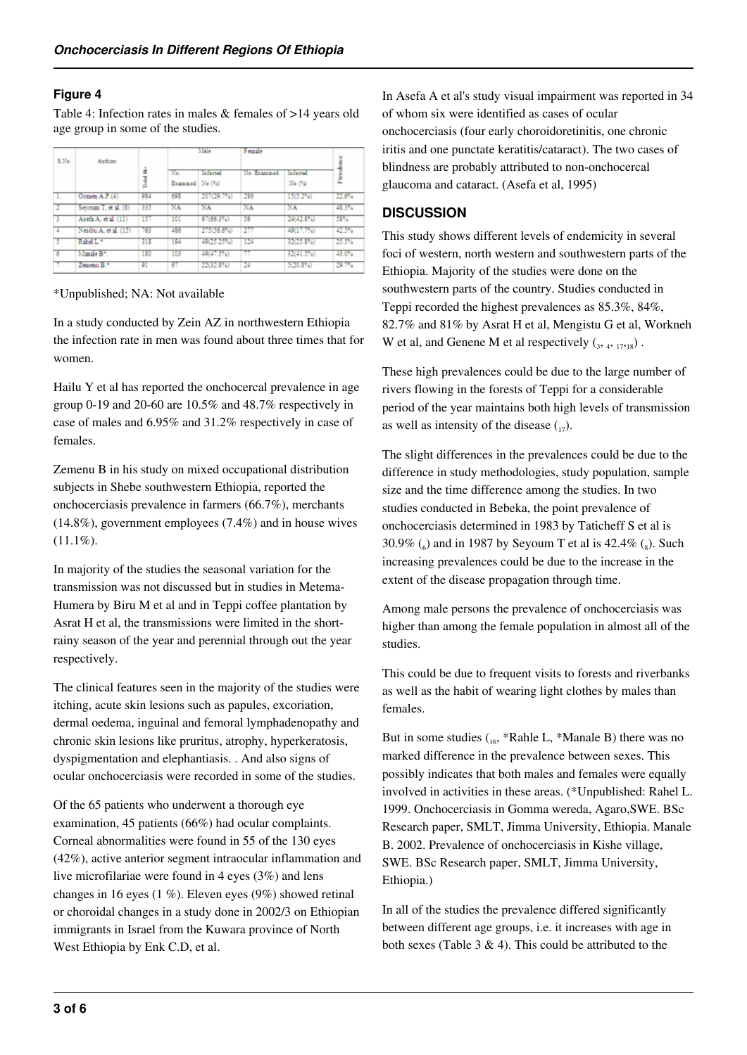#### **Figure 4**

Table 4: Infection rates in males & females of >14 years old age group in some of the studies.

| S.No. | Authors               |          |                        | Male         | Female       |                           |           |
|-------|-----------------------|----------|------------------------|--------------|--------------|---------------------------|-----------|
|       |                       | Total No | No.<br>Examined No (%) | Infected     | No. Examined | <b>Infected</b><br>No(90) | Prevalenc |
| л.    | Oomen $A.P.(4)$       | 984      | 698                    | 207(29.7%)   | 286          | 15(5.2%)                  | 22.6%     |
| 2     | Sevoum T, et al. (8)  | 335      | NA                     | NA           | NA           | NA                        | 48.3%     |
| 3     | Asefa A, et al. (11)  | 157      | 101                    | $67(66.3\%)$ | 56           | 24(42.8%)                 | 58%       |
| -4    | Nesibu A. et al. (15) | 1763     | 486                    | 275(56.6%)   | 277          | 49(17.7%)                 | 42.5%     |
|       | Rahel L.*             | 318      | 194                    | 49(25.25%)   | 124          | 32(25.8%)                 | 25.5%     |
| 6     | Manale B".            | 190      | 103                    | 49(47.5%)    | 77           | 32(41.5%)                 | 43.0%     |
|       | Zemenu B.*            | 91       | 67                     | 22(32.8%)    | 24           | $5(20.8\%)$               | 29.7%     |

\*Unpublished; NA: Not available

In a study conducted by Zein AZ in northwestern Ethiopia the infection rate in men was found about three times that for women.

Hailu Y et al has reported the onchocercal prevalence in age group 0-19 and 20-60 are 10.5% and 48.7% respectively in case of males and 6.95% and 31.2% respectively in case of females.

Zemenu B in his study on mixed occupational distribution subjects in Shebe southwestern Ethiopia, reported the onchocerciasis prevalence in farmers (66.7%), merchants (14.8%), government employees (7.4%) and in house wives  $(11.1\%)$ .

In majority of the studies the seasonal variation for the transmission was not discussed but in studies in Metema-Humera by Biru M et al and in Teppi coffee plantation by Asrat H et al, the transmissions were limited in the shortrainy season of the year and perennial through out the year respectively.

The clinical features seen in the majority of the studies were itching, acute skin lesions such as papules, excoriation, dermal oedema, inguinal and femoral lymphadenopathy and chronic skin lesions like pruritus, atrophy, hyperkeratosis, dyspigmentation and elephantiasis. . And also signs of ocular onchocerciasis were recorded in some of the studies.

Of the 65 patients who underwent a thorough eye examination, 45 patients (66%) had ocular complaints. Corneal abnormalities were found in 55 of the 130 eyes (42%), active anterior segment intraocular inflammation and live microfilariae were found in 4 eyes (3%) and lens changes in 16 eyes (1 %). Eleven eyes (9%) showed retinal or choroidal changes in a study done in 2002/3 on Ethiopian immigrants in Israel from the Kuwara province of North West Ethiopia by Enk C.D, et al.

In Asefa A et al's study visual impairment was reported in 34 of whom six were identified as cases of ocular onchocerciasis (four early choroidoretinitis, one chronic iritis and one punctate keratitis/cataract). The two cases of blindness are probably attributed to non-onchocercal glaucoma and cataract. (Asefa et al, 1995)

### **DISCUSSION**

This study shows different levels of endemicity in several foci of western, north western and southwestern parts of the Ethiopia. Majority of the studies were done on the southwestern parts of the country. Studies conducted in Teppi recorded the highest prevalences as 85.3%, 84%, 82.7% and 81% by Asrat H et al, Mengistu G et al, Workneh W et al, and Genene M et al respectively  $(s, 4, 17, 18)$ .

These high prevalences could be due to the large number of rivers flowing in the forests of Teppi for a considerable period of the year maintains both high levels of transmission as well as intensity of the disease  $\binom{17}{17}$ .

The slight differences in the prevalences could be due to the difference in study methodologies, study population, sample size and the time difference among the studies. In two studies conducted in Bebeka, the point prevalence of onchocerciasis determined in 1983 by Taticheff S et al is 30.9% ( $_6$ ) and in 1987 by Seyoum T et al is 42.4% ( $_8$ ). Such increasing prevalences could be due to the increase in the extent of the disease propagation through time.

Among male persons the prevalence of onchocerciasis was higher than among the female population in almost all of the studies.

This could be due to frequent visits to forests and riverbanks as well as the habit of wearing light clothes by males than females.

But in some studies  $_{16}$ , \*Rahle L, \*Manale B) there was no marked difference in the prevalence between sexes. This possibly indicates that both males and females were equally involved in activities in these areas. (\*Unpublished: Rahel L. 1999. Onchocerciasis in Gomma wereda, Agaro,SWE. BSc Research paper, SMLT, Jimma University, Ethiopia. Manale B. 2002. Prevalence of onchocerciasis in Kishe village, SWE. BSc Research paper, SMLT, Jimma University, Ethiopia.)

In all of the studies the prevalence differed significantly between different age groups, i.e. it increases with age in both sexes (Table 3  $\&$  4). This could be attributed to the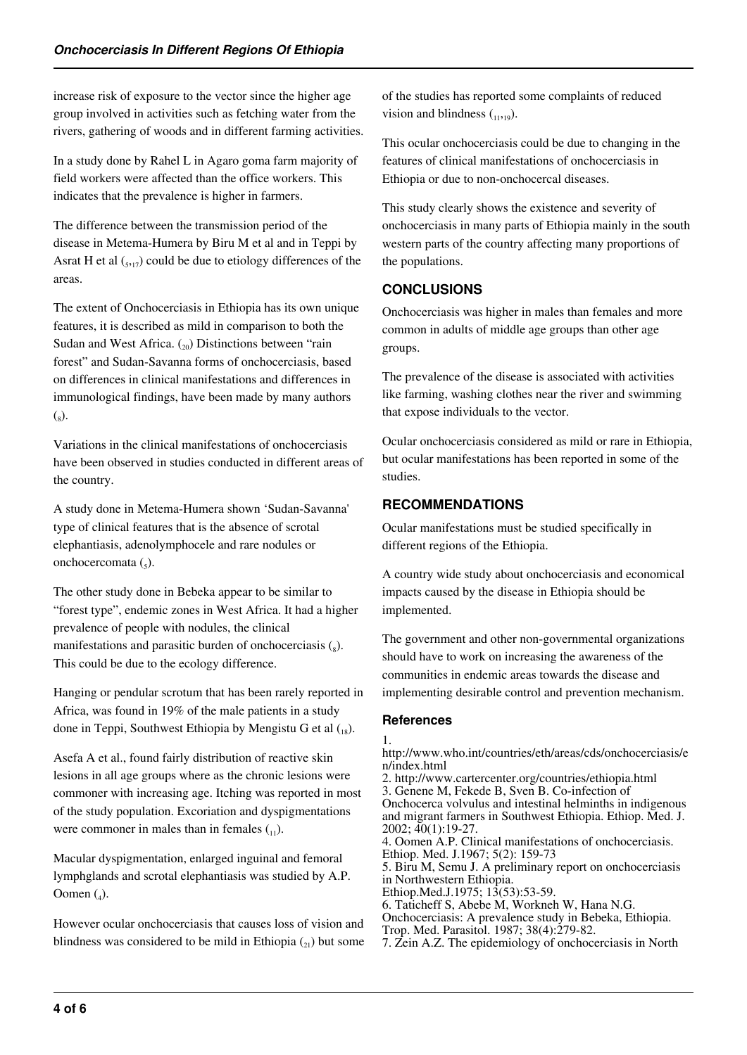increase risk of exposure to the vector since the higher age group involved in activities such as fetching water from the rivers, gathering of woods and in different farming activities.

In a study done by Rahel L in Agaro goma farm majority of field workers were affected than the office workers. This indicates that the prevalence is higher in farmers.

The difference between the transmission period of the disease in Metema-Humera by Biru M et al and in Teppi by Asrat H et al  $_{(5,17)}$  could be due to etiology differences of the areas.

The extent of Onchocerciasis in Ethiopia has its own unique features, it is described as mild in comparison to both the Sudan and West Africa.  $\binom{20}{20}$  Distinctions between "rain forest" and Sudan-Savanna forms of onchocerciasis, based on differences in clinical manifestations and differences in immunological findings, have been made by many authors  $\binom{8}{ }$ .

Variations in the clinical manifestations of onchocerciasis have been observed in studies conducted in different areas of the country.

A study done in Metema-Humera shown 'Sudan-Savanna' type of clinical features that is the absence of scrotal elephantiasis, adenolymphocele and rare nodules or onchocercomata  $\binom{1}{5}$ .

The other study done in Bebeka appear to be similar to "forest type", endemic zones in West Africa. It had a higher prevalence of people with nodules, the clinical manifestations and parasitic burden of onchocerciasis  $\binom{8}{6}$ . This could be due to the ecology difference.

Hanging or pendular scrotum that has been rarely reported in Africa, was found in 19% of the male patients in a study done in Teppi, Southwest Ethiopia by Mengistu G et al  $\binom{18}{18}$ .

Asefa A et al., found fairly distribution of reactive skin lesions in all age groups where as the chronic lesions were commoner with increasing age. Itching was reported in most of the study population. Excoriation and dyspigmentations were commoner in males than in females  $\binom{1}{1}$ .

Macular dyspigmentation, enlarged inguinal and femoral lymphglands and scrotal elephantiasis was studied by A.P. Oomen $(_{4})$ .

However ocular onchocerciasis that causes loss of vision and blindness was considered to be mild in Ethiopia  $\binom{21}{21}$  but some of the studies has reported some complaints of reduced vision and blindness  $(1,1,19)$ .

This ocular onchocerciasis could be due to changing in the features of clinical manifestations of onchocerciasis in Ethiopia or due to non-onchocercal diseases.

This study clearly shows the existence and severity of onchocerciasis in many parts of Ethiopia mainly in the south western parts of the country affecting many proportions of the populations.

### **CONCLUSIONS**

Onchocerciasis was higher in males than females and more common in adults of middle age groups than other age groups.

The prevalence of the disease is associated with activities like farming, washing clothes near the river and swimming that expose individuals to the vector.

Ocular onchocerciasis considered as mild or rare in Ethiopia, but ocular manifestations has been reported in some of the studies.

### **RECOMMENDATIONS**

Ocular manifestations must be studied specifically in different regions of the Ethiopia.

A country wide study about onchocerciasis and economical impacts caused by the disease in Ethiopia should be implemented.

The government and other non-governmental organizations should have to work on increasing the awareness of the communities in endemic areas towards the disease and implementing desirable control and prevention mechanism.

#### **References**

### 1.

http://www.who.int/countries/eth/areas/cds/onchocerciasis/e n/index.html

2. http://www.cartercenter.org/countries/ethiopia.html 3. Genene M, Fekede B, Sven B. Co-infection of

Onchocerca volvulus and intestinal helminths in indigenous and migrant farmers in Southwest Ethiopia. Ethiop. Med. J. 2002; 40(1):19-27.

4. Oomen A.P. Clinical manifestations of onchocerciasis. Ethiop. Med. J.1967; 5(2): 159-73

5. Biru M, Semu J. A preliminary report on onchocerciasis in Northwestern Ethiopia.

Ethiop.Med.J.1975; 13(53):53-59.

6. Taticheff S, Abebe M, Workneh W, Hana N.G.

Onchocerciasis: A prevalence study in Bebeka, Ethiopia. Trop. Med. Parasitol. 1987; 38(4):279-82.

7. Zein A.Z. The epidemiology of onchocerciasis in North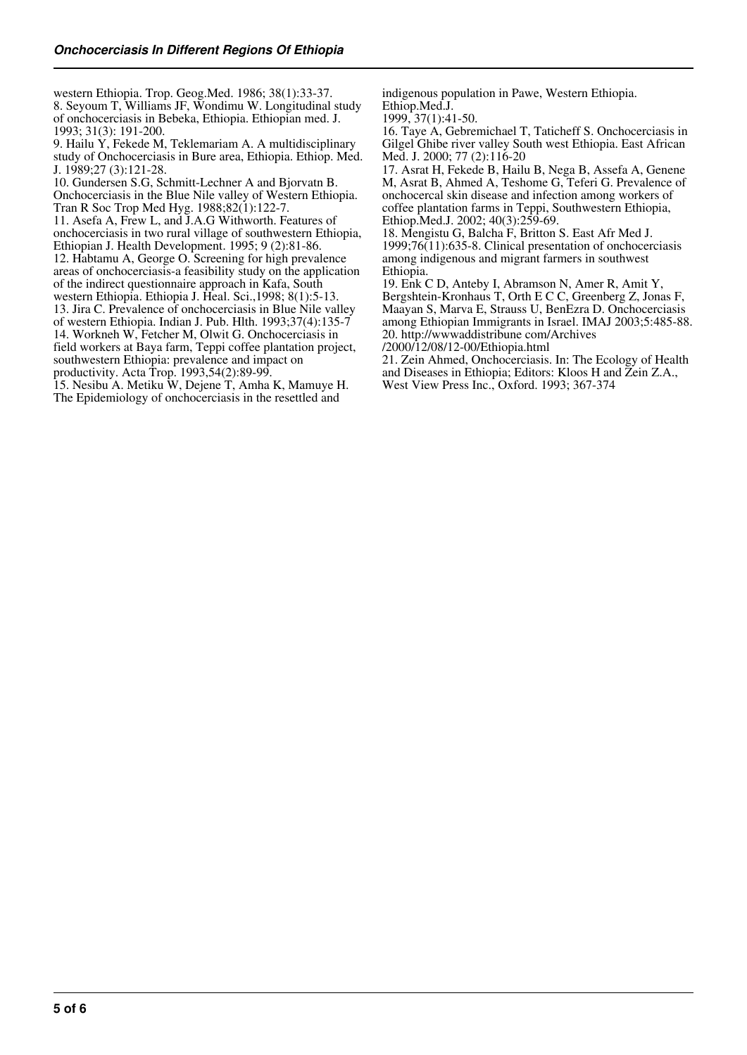western Ethiopia. Trop. Geog.Med. 1986; 38(1):33-37. 8. Seyoum T, Williams JF, Wondimu W. Longitudinal study of onchocerciasis in Bebeka, Ethiopia. Ethiopian med. J. 1993; 31(3): 191-200.

9. Hailu Y, Fekede M, Teklemariam A. A multidisciplinary study of Onchocerciasis in Bure area, Ethiopia. Ethiop. Med. J. 1989;27 (3):121-28.

10. Gundersen S.G, Schmitt-Lechner A and Bjorvatn B. Onchocerciasis in the Blue Nile valley of Western Ethiopia. Tran R Soc Trop Med Hyg. 1988;82(1):122-7.

11. Asefa A, Frew L, and J.A.G Withworth. Features of onchocerciasis in two rural village of southwestern Ethiopia, Ethiopian J. Health Development. 1995; 9 (2):81-86. 12. Habtamu A, George O. Screening for high prevalence areas of onchocerciasis-a feasibility study on the application of the indirect questionnaire approach in Kafa, South western Ethiopia. Ethiopia J. Heal. Sci.,1998; 8(1):5-13. 13. Jira C. Prevalence of onchocerciasis in Blue Nile valley of western Ethiopia. Indian J. Pub. Hlth. 1993;37(4):135-7 14. Workneh W, Fetcher M, Olwit G. Onchocerciasis in field workers at Baya farm, Teppi coffee plantation project, southwestern Ethiopia: prevalence and impact on productivity. Acta Trop. 1993,54(2):89-99.

15. Nesibu A. Metiku W, Dejene T, Amha K, Mamuye H. The Epidemiology of onchocerciasis in the resettled and

indigenous population in Pawe, Western Ethiopia. Ethiop.Med.J.

1999, 37(1):41-50.

16. Taye A, Gebremichael T, Taticheff S. Onchocerciasis in Gilgel Ghibe river valley South west Ethiopia. East African Med. J. 2000; 77 (2):116-20

17. Asrat H, Fekede B, Hailu B, Nega B, Assefa A, Genene M, Asrat B, Ahmed A, Teshome G, Teferi G. Prevalence of onchocercal skin disease and infection among workers of coffee plantation farms in Teppi, Southwestern Ethiopia, Ethiop.Med.J. 2002; 40(3):259-69.

18. Mengistu G, Balcha F, Britton S. East Afr Med J. 1999;76(11):635-8. Clinical presentation of onchocerciasis among indigenous and migrant farmers in southwest Ethiopia.

19. Enk C D, Anteby I, Abramson N, Amer R, Amit Y, Bergshtein-Kronhaus T, Orth E C C, Greenberg Z, Jonas F, Maayan S, Marva E, Strauss U, BenEzra D. Onchocerciasis among Ethiopian Immigrants in Israel. IMAJ 2003;5:485-88. 20. http://wwwaddistribune com/Archives /2000/12/08/12-00/Ethiopia.html

21. Zein Ahmed, Onchocerciasis. In: The Ecology of Health and Diseases in Ethiopia; Editors: Kloos H and Zein Z.A., West View Press Inc., Oxford. 1993; 367-374